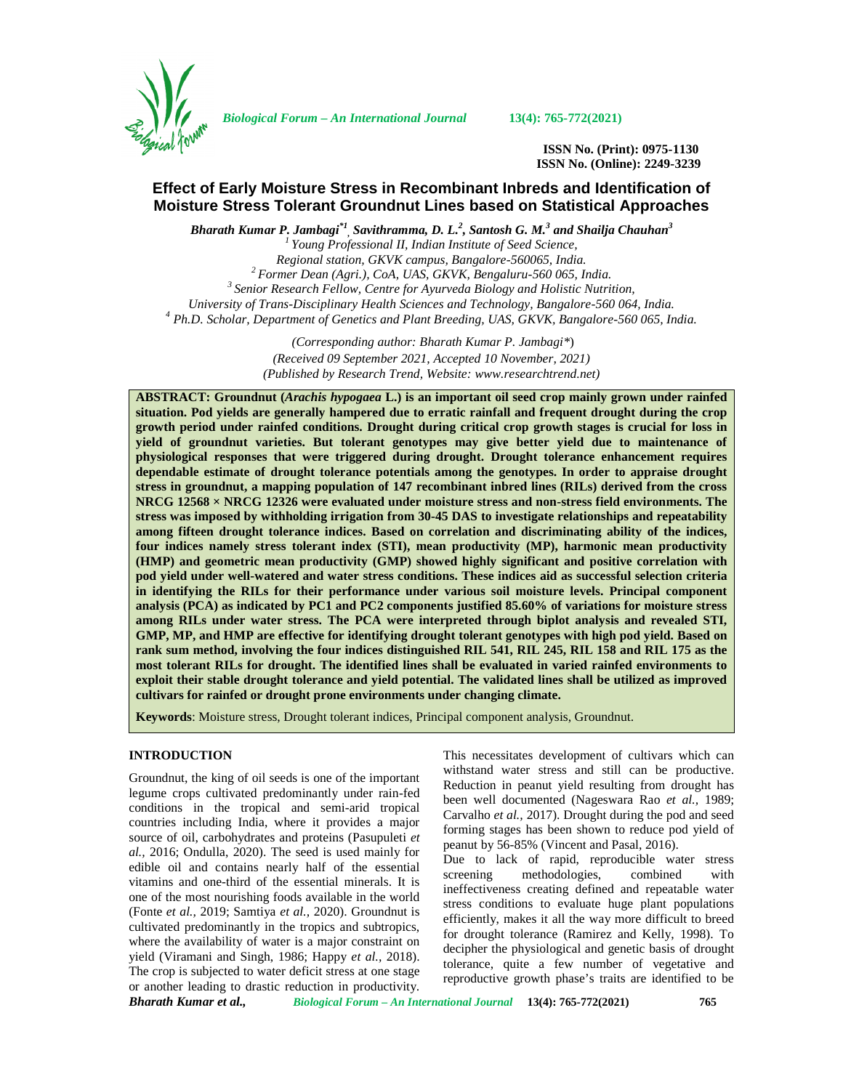

*Biological Forum – An International Journal* **13(4): 765-772(2021)**

**ISSN No. (Print): 0975-1130 ISSN No. (Online): 2249-3239**

# **Effect of Early Moisture Stress in Recombinant Inbreds and Identification of Moisture Stress Tolerant Groundnut Lines based on Statistical Approaches**

*Bharath Kumar P. Jambagi\*1 , Savithramma, D. L.<sup>2</sup> , Santosh G. M.<sup>3</sup> and Shailja Chauhan<sup>3</sup> <sup>1</sup> Young Professional II, Indian Institute of Seed Science,* <sup>2</sup> Former Dean (Agri.), CoA, UAS, GKVK, Bengaluru-560 065, India.<br><sup>3</sup> Senior Research Fellow, Centre for Ayurveda Biology and Holistic Nutrition,<br>University of Trans-Disciplinary Health Sciences and Technology, Bangalore *University of Trans-Disciplinary Health Sciences and Technology, Bangalore-560 064, India. <sup>4</sup> Ph.D. Scholar, Department of Genetics and Plant Breeding, UAS, GKVK, Bangalore-560 065, India.*

> *(Corresponding author: Bharath Kumar P. Jambagi\**) *(Received 09 September 2021, Accepted 10 November, 2021) (Published by Research Trend, Website: [www.researchtrend.net\)](www.researchtrend.net)*

**ABSTRACT: Groundnut (***Arachis hypogaea* **L.) is an important oil seed crop mainly grown under rainfed situation. Pod yields are generally hampered due to erratic rainfall and frequent drought during the crop growth period under rainfed conditions. Drought during critical crop growth stages is crucial for loss in yield of groundnut varieties. But tolerant genotypes may give better yield due to maintenance of physiological responses that were triggered during drought. Drought tolerance enhancement requires dependable estimate of drought tolerance potentials among the genotypes. In order to appraise drought stress in groundnut, a mapping population of 147 recombinant inbred lines (RILs) derived from the cross NRCG 12568 × NRCG 12326 were evaluated under moisture stress and non-stress field environments. The stress was imposed by withholding irrigation from 30-45 DAS to investigate relationships and repeatability among fifteen drought tolerance indices. Based on correlation and discriminating ability of the indices, four indices namely stress tolerant index (STI), mean productivity (MP), harmonic mean productivity (HMP) and geometric mean productivity (GMP) showed highly significant and positive correlation with pod yield under well-watered and water stress conditions. These indices aid as successful selection criteria in identifying the RILs for their performance under various soil moisture levels. Principal component analysis (PCA) as indicated by PC1 and PC2 components justified 85.60% of variations for moisture stress among RILs under water stress. The PCA were interpreted through biplot analysis and revealed STI, GMP, MP, and HMP are effective for identifying drought tolerant genotypes with high pod yield. Based on rank sum method, involving the four indices distinguished RIL 541, RIL 245, RIL 158 and RIL 175 as the most tolerant RILs for drought. The identified lines shall be evaluated in varied rainfed environments to exploit their stable drought tolerance and yield potential. The validated lines shall be utilized as improved cultivars for rainfed or drought prone environments under changing climate.**

**Keywords**: Moisture stress, Drought tolerant indices, Principal component analysis, Groundnut.

#### **INTRODUCTION**

*Bharath Kumar et al., Biological Forum – An International Journal* **13(4): 765-772(2021) 765** Groundnut, the king of oil seeds is one of the important legume crops cultivated predominantly under rain-fed conditions in the tropical and semi-arid tropical countries including India, where it provides a major source of oil, carbohydrates and proteins (Pasupuleti *et al.,* 2016; Ondulla, 2020). The seed is used mainly for edible oil and contains nearly half of the essential screening vitamins and one-third of the essential minerals. It is one of the most nourishing foods available in the world (Fonte *et al.,* 2019; Samtiya *et al.,* 2020). Groundnut is cultivated predominantly in the tropics and subtropics, where the availability of water is a major constraint on yield (Viramani and Singh, 1986; Happy *et al.,* 2018). The crop is subjected to water deficit stress at one stage or another leading to drastic reduction in productivity.

This necessitates development of cultivars which can withstand water stress and still can be productive. Reduction in peanut yield resulting from drought has been well documented (Nageswara Rao *et al.,* 1989; Carvalho *et al.,* 2017). Drought during the pod and seed forming stages has been shown to reduce pod yield of peanut by 56-85% (Vincent and Pasal, 2016).

Due to lack of rapid, reproducible water stress methodologies, combined with ineffectiveness creating defined and repeatable water stress conditions to evaluate huge plant populations efficiently, makes it all the way more difficult to breed for drought tolerance (Ramirez and Kelly, 1998). To decipher the physiological and genetic basis of drought tolerance, quite a few number of vegetative and reproductive growth phase's traits are identified to be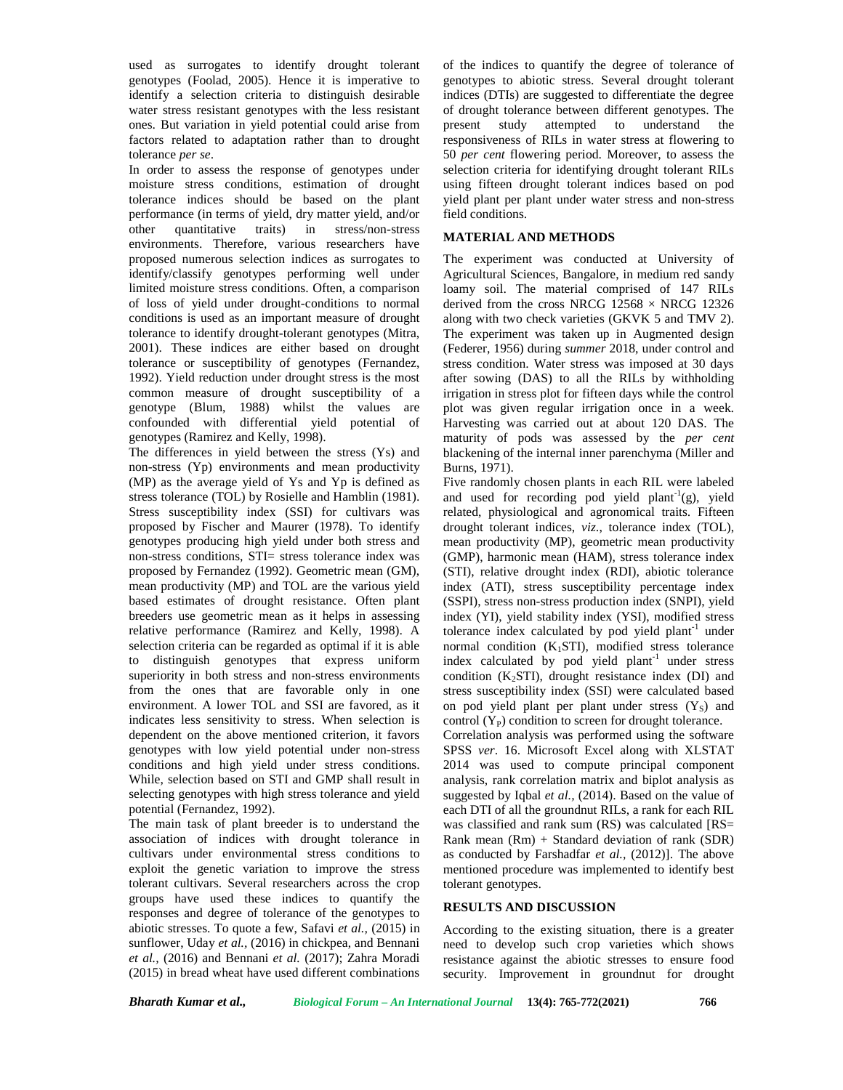used as surrogates to identify drought tolerant genotypes (Foolad, 2005). Hence it is imperative to identify a selection criteria to distinguish desirable water stress resistant genotypes with the less resistant ones. But variation in yield potential could arise from factors related to adaptation rather than to drought tolerance *per se*.

In order to assess the response of genotypes under moisture stress conditions, estimation of drought tolerance indices should be based on the plant performance (in terms of yield, dry matter yield, and/or other quantitative traits) in stress/non-stress environments. Therefore, various researchers have proposed numerous selection indices as surrogates to identify/classify genotypes performing well under limited moisture stress conditions. Often, a comparison of loss of yield under drought-conditions to normal conditions is used as an important measure of drought tolerance to identify drought-tolerant genotypes (Mitra, 2001). These indices are either based on drought tolerance or susceptibility of genotypes (Fernandez, 1992). Yield reduction under drought stress is the most common measure of drought susceptibility of a genotype (Blum, 1988) whilst the values are confounded with differential yield potential of genotypes (Ramirez and Kelly, 1998).

The differences in yield between the stress (Ys) and non-stress (Yp) environments and mean productivity (MP) as the average yield of Ys and Yp is defined as stress tolerance (TOL) by Rosielle and Hamblin (1981). Stress susceptibility index (SSI) for cultivars was proposed by Fischer and Maurer (1978). To identify genotypes producing high yield under both stress and non-stress conditions, STI= stress tolerance index was proposed by Fernandez (1992). Geometric mean (GM), mean productivity (MP) and TOL are the various yield based estimates of drought resistance. Often plant breeders use geometric mean as it helps in assessing relative performance (Ramirez and Kelly, 1998). A selection criteria can be regarded as optimal if it is able to distinguish genotypes that express uniform superiority in both stress and non-stress environments from the ones that are favorable only in one environment. A lower TOL and SSI are favored, as it indicates less sensitivity to stress. When selection is dependent on the above mentioned criterion, it favors genotypes with low yield potential under non-stress conditions and high yield under stress conditions. While, selection based on STI and GMP shall result in selecting genotypes with high stress tolerance and yield potential (Fernandez, 1992).

The main task of plant breeder is to understand the association of indices with drought tolerance in cultivars under environmental stress conditions to exploit the genetic variation to improve the stress tolerant cultivars. Several researchers across the crop groups have used these indices to quantify the responses and degree of tolerance of the genotypes to abiotic stresses. To quote a few, Safavi *et al.,* (2015) in sunflower, Uday *et al.,* (2016) in chickpea, and Bennani *et al.,* (2016) and Bennani *et al.* (2017); Zahra Moradi (2015) in bread wheat have used different combinations of the indices to quantify the degree of tolerance of genotypes to abiotic stress. Several drought tolerant indices (DTIs) are suggested to differentiate the degree of drought tolerance between different genotypes. The attempted to understand the responsiveness of RILs in water stress at flowering to 50 *per cent* flowering period. Moreover, to assess the selection criteria for identifying drought tolerant RILs using fifteen drought tolerant indices based on pod yield plant per plant under water stress and non-stress field conditions.

#### **MATERIAL AND METHODS**

The experiment was conducted at University of Agricultural Sciences, Bangalore, in medium red sandy loamy soil. The material comprised of 147 RILs derived from the cross NRCG  $12568 \times \text{NRCG}$  12326 along with two check varieties (GKVK 5 and TMV 2). The experiment was taken up in Augmented design (Federer, 1956) during *summer* 2018, under control and stress condition. Water stress was imposed at 30 days after sowing (DAS) to all the RILs by withholding irrigation in stress plot for fifteen days while the control plot was given regular irrigation once in a week. Harvesting was carried out at about 120 DAS. The maturity of pods was assessed by the *per cent* blackening of the internal inner parenchyma (Miller and Burns, 1971).

Five randomly chosen plants in each RIL were labeled and used for recording pod yield plant<sup>-1</sup>(g), yield related, physiological and agronomical traits. Fifteen drought tolerant indices, *viz*., tolerance index (TOL), mean productivity (MP), geometric mean productivity (GMP), harmonic mean (HAM), stress tolerance index (STI), relative drought index (RDI), abiotic tolerance index (ATI), stress susceptibility percentage index (SSPI), stress non-stress production index (SNPI), yield index (YI), yield stability index (YSI), modified stress tolerance index calculated by pod yield plant<sup>-1</sup> under normal condition  $(K_1STI)$ , modified stress tolerance index calculated by pod yield plant<sup>-1</sup> under stress condition  $(K<sub>2</sub>STI)$ , drought resistance index  $(DI)$  and stress susceptibility index (SSI) were calculated based on pod yield plant per plant under stress  $(Y<sub>S</sub>)$  and control  $(Y_P)$  condition to screen for drought tolerance.

Correlation analysis was performed using the software SPSS *ver*. 16. Microsoft Excel along with XLSTAT 2014 was used to compute principal component analysis, rank correlation matrix and biplot analysis as suggested by Iqbal *et al.,* (2014). Based on the value of each DTI of all the groundnut RILs, a rank for each RIL was classified and rank sum (RS) was calculated [RS= Rank mean (Rm) + Standard deviation of rank (SDR) as conducted by Farshadfar *et al.,* (2012)]. The above mentioned procedure was implemented to identify best tolerant genotypes.

## **RESULTS AND DISCUSSION**

According to the existing situation, there is a greater need to develop such crop varieties which shows resistance against the abiotic stresses to ensure food security. Improvement in groundnut for drought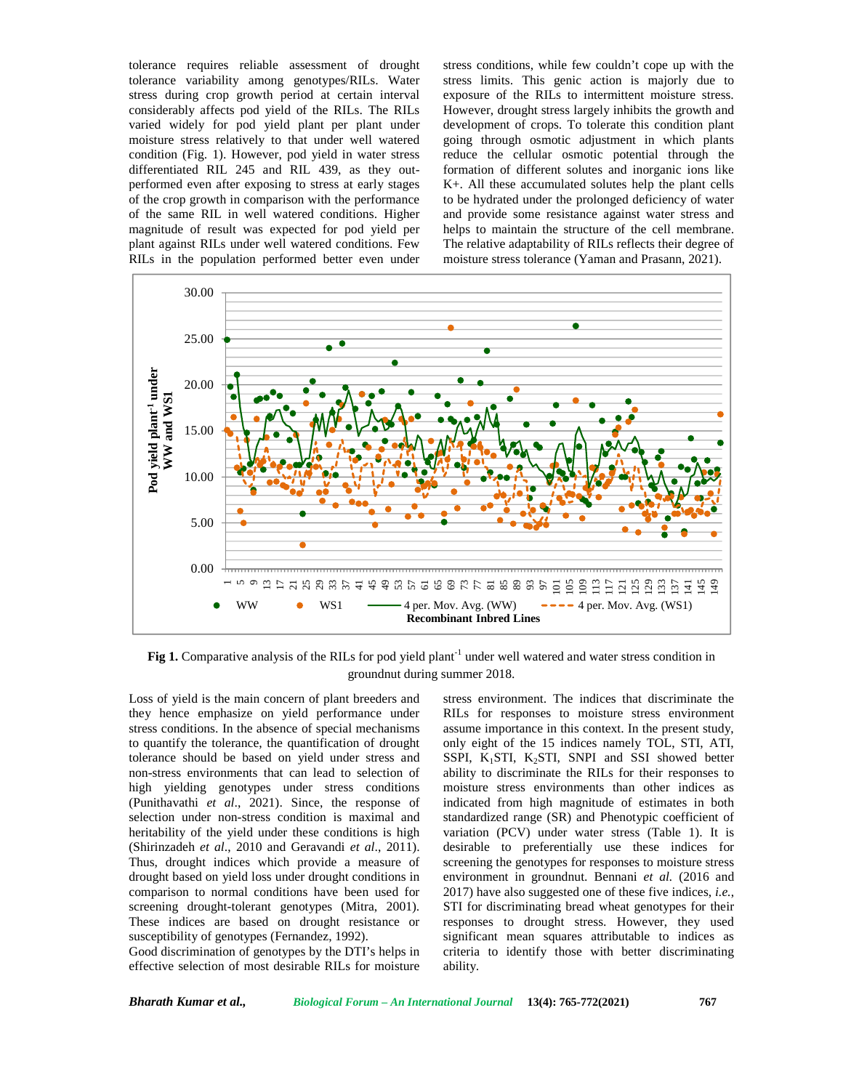tolerance requires reliable assessment of drought tolerance variability among genotypes/RILs. Water stress during crop growth period at certain interval considerably affects pod yield of the RILs. The RILs varied widely for pod yield plant per plant under moisture stress relatively to that under well watered condition (Fig. 1). However, pod yield in water stress differentiated RIL 245 and RIL 439, as they out performed even after exposing to stress at early stages of the crop growth in comparison with the performance of the same RIL in well watered conditions. Higher magnitude of result was expected for pod yield per plant against RILs under well watered conditions. Few RILs in the population performed better even under

stress conditions, while few couldn't cope up with the stress limits. This genic action is majorly due to exposure of the RILs to intermittent moisture stress. However, drought stress largely inhibits the growth and development of crops. To tolerate this condition plant going through osmotic adjustment in which plants reduce the cellular osmotic potential through the formation of different solutes and inorganic ions like K+. All these accumulated solutes help the plant cells to be hydrated under the prolonged deficiency of water and provide some resistance against water stress and helps to maintain the structure of the cell membrane. The relative adaptability of RILs reflects their degree of moisture stress tolerance (Yaman and Prasann, 2021).



**Fig 1.** Comparative analysis of the RILs for pod yield plant<sup>-1</sup> under well watered and water stress condition in groundnut during summer 2018.

Loss of yield is the main concern of plant breeders and they hence emphasize on yield performance under stress conditions. In the absence of special mechanisms to quantify the tolerance, the quantification of drought tolerance should be based on yield under stress and non-stress environments that can lead to selection of high yielding genotypes under stress conditions (Punithavathi *et al*., 2021). Since, the response of selection under non-stress condition is maximal and heritability of the yield under these conditions is high (Shirinzadeh *et al*., 2010 and Geravandi *et al*., 2011). Thus, drought indices which provide a measure of drought based on yield loss under drought conditions in comparison to normal conditions have been used for screening drought-tolerant genotypes (Mitra, 2001). These indices are based on drought resistance or susceptibility of genotypes (Fernandez, 1992).

Good discrimination of genotypes by the DTI's helps in effective selection of most desirable RILs for moisture

stress environment. The indices that discriminate the RILs for responses to moisture stress environment assume importance in this context. In the present study, only eight of the 15 indices namely TOL, STI, ATI, SSPI,  $K_1$ STI,  $K_2$ STI, SNPI and SSI showed better ability to discriminate the RILs for their responses to moisture stress environments than other indices as indicated from high magnitude of estimates in both standardized range (SR) and Phenotypic coefficient of variation (PCV) under water stress (Table 1). It is desirable to preferentially use these indices for screening the genotypes for responses to moisture stress environment in groundnut. Bennani *et al.* (2016 and 2017) have also suggested one of these five indices, *i.e.*, STI for discriminating bread wheat genotypes for their responses to drought stress. However, they used significant mean squares attributable to indices as criteria to identify those with better discriminating ability.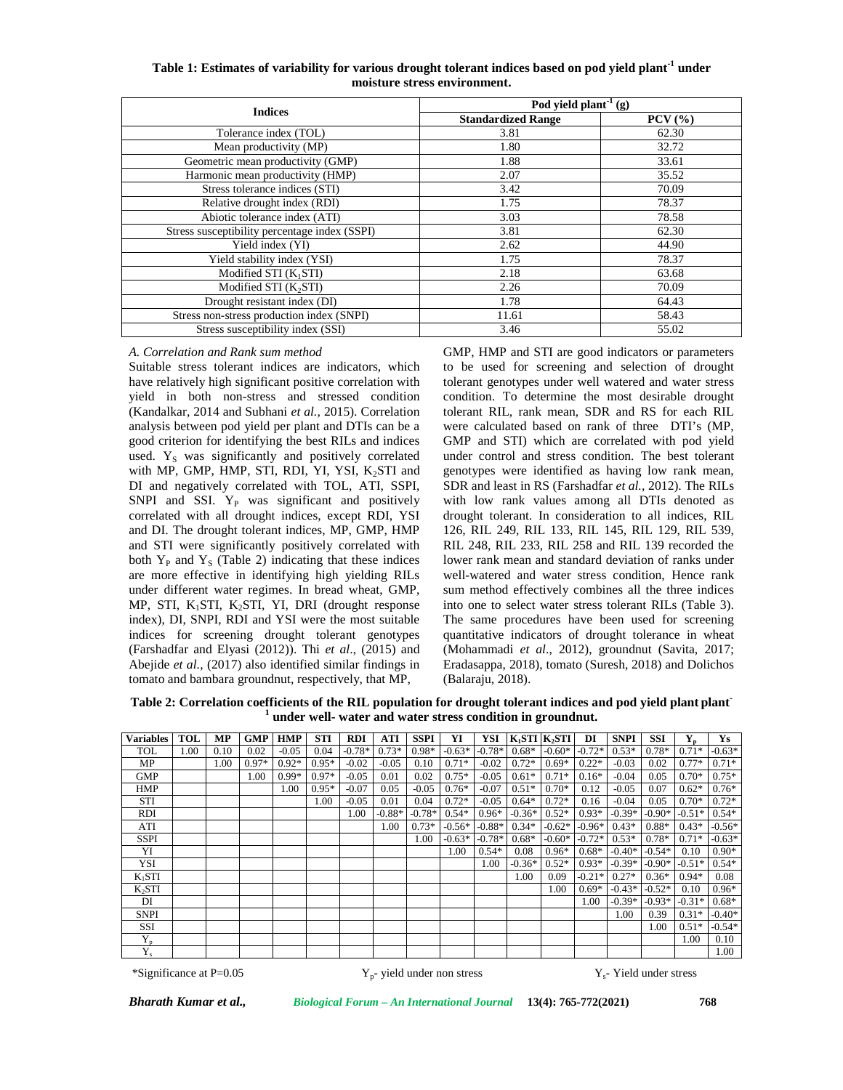| Table 1: Estimates of variability for various drought tolerant indices based on pod yield plant <sup>-1</sup> under |  |
|---------------------------------------------------------------------------------------------------------------------|--|
| moisture stress environment.                                                                                        |  |

| <b>Indices</b>                                | $\overline{Pod}$ yield plant <sup>-1</sup> (g) |              |
|-----------------------------------------------|------------------------------------------------|--------------|
|                                               | <b>Standardized Range</b>                      | $PCV$ $(\%)$ |
| Tolerance index (TOL)                         | 3.81                                           | 62.30        |
| Mean productivity (MP)                        | 1.80                                           | 32.72        |
| Geometric mean productivity (GMP)             | 1.88                                           | 33.61        |
| Harmonic mean productivity (HMP)              | 2.07                                           | 35.52        |
| Stress tolerance indices (STI)                | 3.42                                           | 70.09        |
| Relative drought index (RDI)                  | 1.75                                           | 78.37        |
| Abiotic tolerance index (ATI)                 | 3.03                                           | 78.58        |
| Stress susceptibility percentage index (SSPI) | 3.81                                           | 62.30        |
| Yield index (YI)                              | 2.62                                           | 44.90        |
| Yield stability index (YSI)                   | 1.75                                           | 78.37        |
| Modified STI $(K_1STI)$                       | 2.18                                           | 63.68        |
| Modified STI $(K_2STI)$                       | 2.26                                           | 70.09        |
| Drought resistant index (DI)                  | 1.78                                           | 64.43        |
| Stress non-stress production index (SNPI)     | 11.61                                          | 58.43        |
| Stress susceptibility index (SSI)             | 3.46                                           | 55.02        |

#### *A. Correlation and Rank sum method*

Suitable stress tolerant indices are indicators, which have relatively high significant positive correlation with yield in both non-stress and stressed condition (Kandalkar, 2014 and Subhani *et al.,* 2015). Correlation analysis between pod yield per plant and DTIs can be a good criterion for identifying the best RILs and indices used. Y<sub>S</sub> was significantly and positively correlated with MP, GMP, HMP, STI, RDI, YI, YSI,  $K_2STI$  and DI and negatively correlated with TOL, ATI, SSPI, SNPI and SSI.  $Y_P$  was significant and positively correlated with all drought indices, except RDI, YSI and DI. The drought tolerant indices, MP, GMP, HMP and STI were significantly positively correlated with both  $Y_P$  and  $Y_S$  (Table 2) indicating that these indices are more effective in identifying high yielding RILs under different water regimes. In bread wheat, GMP, MP, STI,  $K_1STI$ ,  $K_2STI$ , YI, DRI (drought response index), DI, SNPI, RDI and YSI were the most suitable indices for screening drought tolerant genotypes (Farshadfar and Elyasi (2012)). Thi *et al*., (2015) and Abejide *et al.,* (2017) also identified similar findings in tomato and bambara groundnut, respectively, that MP,

GMP, HMP and STI are good indicators or parameters to be used for screening and selection of drought tolerant genotypes under well watered and water stress condition. To determine the most desirable drought tolerant RIL, rank mean, SDR and RS for each RIL were calculated based on rank of three DTI's (MP, GMP and STI) which are correlated with pod yield under control and stress condition. The best tolerant genotypes were identified as having low rank mean, SDR and least in RS (Farshadfar *et al.,* 2012). The RILs with low rank values among all DTIs denoted as drought tolerant. In consideration to all indices, RIL 126, RIL 249, RIL 133, RIL 145, RIL 129, RIL 539, RIL 248, RIL 233, RIL 258 and RIL 139 recorded the lower rank mean and standard deviation of ranks under well-watered and water stress condition, Hence rank sum method effectively combines all the three indices into one to select water stress tolerant RILs (Table 3). The same procedures have been used for screening quantitative indicators of drought tolerance in wheat (Mohammadi *et al*., 2012), groundnut (Savita, 2017; Eradasappa, 2018), tomato (Suresh, 2018) and Dolichos (Balaraju, 2018).

**Table 2: Correlation coefficients of the RIL population for drought tolerant indices and pod yield plant plant- <sup>1</sup> under well- water and water stress condition in groundnut.**

| Variables   | <b>TOL</b> | <b>MP</b> | <b>GMP</b> | <b>HMP</b> | <b>STI</b> | <b>RDI</b> | <b>ATI</b> | <b>SSPI</b> | YI       | YSI      | $K_1STI$ $K_2STI$ |          | DI       | <b>SNPI</b> | <b>SSI</b> |          | Ys       |
|-------------|------------|-----------|------------|------------|------------|------------|------------|-------------|----------|----------|-------------------|----------|----------|-------------|------------|----------|----------|
| TOL         | 1.00       | 0.10      | 0.02       | $-0.05$    | 0.04       | $-0.78*$   | $0.73*$    | $0.98*$     | $-0.63*$ | $-0.78*$ | $0.68*$           | $-0.60*$ | $-0.72*$ | $0.53*$     | $0.78*$    | $0.71*$  | $-0.63*$ |
| MP          |            | 1.00      | $0.97*$    | $0.92*$    | $0.95*$    | $-0.02$    | $-0.05$    | 0.10        | $0.71*$  | $-0.02$  | $0.72*$           | $0.69*$  | $0.22*$  | $-0.03$     | 0.02       | $0.77*$  | $0.71*$  |
| <b>GMP</b>  |            |           | 1.00       | $0.99*$    | $0.97*$    | $-0.05$    | 0.01       | 0.02        | $0.75*$  | $-0.05$  | $0.61*$           | $0.71*$  | $0.16*$  | $-0.04$     | 0.05       | $0.70*$  | $0.75*$  |
| <b>HMP</b>  |            |           |            | 1.00       | $0.95*$    | $-0.07$    | 0.05       | $-0.05$     | $0.76*$  | $-0.07$  | $0.51*$           | $0.70*$  | 0.12     | $-0.05$     | 0.07       | $0.62*$  | $0.76*$  |
| <b>STI</b>  |            |           |            |            | 1.00       | $-0.05$    | 0.01       | 0.04        | $0.72*$  | $-0.05$  | $0.64*$           | $0.72*$  | 0.16     | $-0.04$     | 0.05       | $0.70*$  | $0.72*$  |
| <b>RDI</b>  |            |           |            |            |            | 1.00       | $-0.88*$   | $-0.78*$    | $0.54*$  | $0.96*$  | $-0.36*$          | $0.52*$  | $0.93*$  | $-0.39*$    | $-0.90*$   | $-0.51*$ | $0.54*$  |
| ATI         |            |           |            |            |            |            | 1.00       | $0.73*$     | $-0.56*$ | $-0.88*$ | $0.34*$           | $-0.62*$ | $-0.96*$ | $0.43*$     | $0.88*$    | $0.43*$  | $-0.56*$ |
| <b>SSPI</b> |            |           |            |            |            |            |            | 00.1        | $-0.63*$ | $-0.78*$ | $0.68*$           | $-0.60*$ | $-0.72*$ | $0.53*$     | $0.78*$    | $0.71*$  | $-0.63*$ |
| YI          |            |           |            |            |            |            |            |             | 1.00     | $0.54*$  | 0.08              | $0.96*$  | $0.68*$  | $-0.40*$    | $-0.54*$   | 0.10     | $0.90*$  |
| YSI         |            |           |            |            |            |            |            |             |          | 1.00     | $-0.36*$          | $0.52*$  | $0.93*$  | $-0.39*$    | $-0.90*$   | $-0.51*$ | $0.54*$  |
| $K_1STI$    |            |           |            |            |            |            |            |             |          |          | 1.00              | 0.09     | $-0.21*$ | $0.27*$     | $0.36*$    | $0.94*$  | 0.08     |
| $K_2STI$    |            |           |            |            |            |            |            |             |          |          |                   | 1.00     | $0.69*$  | $-0.43*$    | $-0.52*$   | 0.10     | $0.96*$  |
| DI          |            |           |            |            |            |            |            |             |          |          |                   |          | 1.00     | $-0.39*$    | $-0.93*$   | $-0.31*$ | $0.68*$  |
| <b>SNPI</b> |            |           |            |            |            |            |            |             |          |          |                   |          |          | 1.00        | 0.39       | $0.31*$  | $-0.40*$ |
| <b>SSI</b>  |            |           |            |            |            |            |            |             |          |          |                   |          |          |             | 1.00       | $0.51*$  | $-0.54*$ |
| $Y_{p}$     |            |           |            |            |            |            |            |             |          |          |                   |          |          |             |            | 1.00     | 0.10     |
| $Y_{s}$     |            |           |            |            |            |            |            |             |          |          |                   |          |          |             |            |          | 1.00     |

\*Significance at  $P=0.05$ 

 $Y_{n}$ - yield under non stress  $Y_s$ - Yield under stress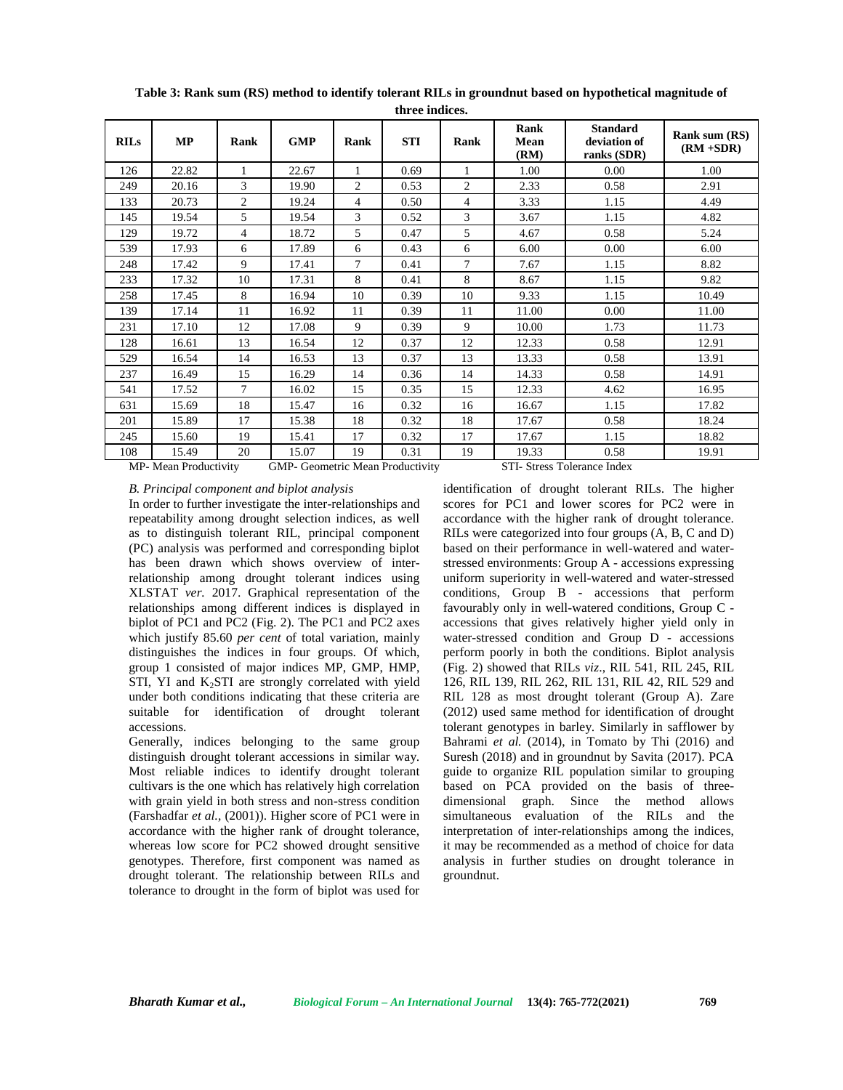| <b>RILs</b> | <b>MP</b> | Rank   | <b>GMP</b> | Rank           | <b>STI</b> | Rank | Rank<br>Mean<br>(RM) | <b>Standard</b><br>deviation of<br>ranks (SDR) | Rank sum (RS)<br>$(RM + SDR)$ |
|-------------|-----------|--------|------------|----------------|------------|------|----------------------|------------------------------------------------|-------------------------------|
| 126         | 22.82     | 1      | 22.67      | 1              | 0.69       | 1    | 1.00                 | 0.00                                           | 1.00                          |
| 249         | 20.16     | 3      | 19.90      | $\overline{c}$ | 0.53       | 2    | 2.33                 | 0.58                                           | 2.91                          |
| 133         | 20.73     | 2      | 19.24      | 4              | 0.50       | 4    | 3.33                 | 1.15                                           | 4.49                          |
| 145         | 19.54     | 5      | 19.54      | 3              | 0.52       | 3    | 3.67                 | 1.15                                           | 4.82                          |
| 129         | 19.72     | 4      | 18.72      | 5              | 0.47       | 5    | 4.67                 | 0.58                                           | 5.24                          |
| 539         | 17.93     | 6      | 17.89      | 6              | 0.43       | 6    | 6.00                 | 0.00                                           | 6.00                          |
| 248         | 17.42     | 9      | 17.41      | $\tau$         | 0.41       | 7    | 7.67                 | 1.15                                           | 8.82                          |
| 233         | 17.32     | 10     | 17.31      | 8              | 0.41       | 8    | 8.67                 | 1.15                                           | 9.82                          |
| 258         | 17.45     | 8      | 16.94      | 10             | 0.39       | 10   | 9.33                 | 1.15                                           | 10.49                         |
| 139         | 17.14     | 11     | 16.92      | 11             | 0.39       | 11   | 11.00                | 0.00                                           | 11.00                         |
| 231         | 17.10     | 12     | 17.08      | 9              | 0.39       | 9    | 10.00                | 1.73                                           | 11.73                         |
| 128         | 16.61     | 13     | 16.54      | 12             | 0.37       | 12   | 12.33                | 0.58                                           | 12.91                         |
| 529         | 16.54     | 14     | 16.53      | 13             | 0.37       | 13   | 13.33                | 0.58                                           | 13.91                         |
| 237         | 16.49     | 15     | 16.29      | 14             | 0.36       | 14   | 14.33                | 0.58                                           | 14.91                         |
| 541         | 17.52     | $\tau$ | 16.02      | 15             | 0.35       | 15   | 12.33                | 4.62                                           | 16.95                         |
| 631         | 15.69     | 18     | 15.47      | 16             | 0.32       | 16   | 16.67                | 1.15                                           | 17.82                         |
| 201         | 15.89     | 17     | 15.38      | 18             | 0.32       | 18   | 17.67                | 0.58                                           | 18.24                         |
| 245         | 15.60     | 19     | 15.41      | 17             | 0.32       | 17   | 17.67                | 1.15                                           | 18.82                         |
| 108         | 15.49     | 20     | 15.07      | 19             | 0.31       | 19   | 19.33                | 0.58                                           | 19.91                         |

**Table 3: Rank sum (RS) method to identify tolerant RILs in groundnut based on hypothetical magnitude of**

**three indices.**

MP- Mean Productivity GMP- Geometric Mean Productivity STI- Stress Tolerance Index

### *B. Principal component and biplot analysis*

In order to further investigate the inter-relationships and repeatability among drought selection indices, as well as to distinguish tolerant RIL, principal component (PC) analysis was performed and corresponding biplot has been drawn which shows overview of interrelationship among drought tolerant indices using XLSTAT *ver.* 2017. Graphical representation of the relationships among different indices is displayed in biplot of PC1 and PC2 (Fig. 2). The PC1 and PC2 axes which justify 85.60 *per cent* of total variation, mainly distinguishes the indices in four groups. Of which, group 1 consisted of major indices MP, GMP, HMP, STI, YI and  $K_2$ STI are strongly correlated with yield under both conditions indicating that these criteria are suitable for identification of drought tolerant accessions.

Generally, indices belonging to the same group distinguish drought tolerant accessions in similar way. Most reliable indices to identify drought tolerant cultivars is the one which has relatively high correlation with grain yield in both stress and non-stress condition (Farshadfar *et al.,* (2001)). Higher score of PC1 were in accordance with the higher rank of drought tolerance, whereas low score for PC2 showed drought sensitive genotypes. Therefore, first component was named as drought tolerant. The relationship between RILs and tolerance to drought in the form of biplot was used for

identification of drought tolerant RILs. The higher scores for PC1 and lower scores for PC2 were in accordance with the higher rank of drought tolerance. RILs were categorized into four groups (A, B, C and D) based on their performance in well-watered and water stressed environments: Group A - accessions expressing uniform superiority in well-watered and water-stressed conditions, Group B - accessions that perform favourably only in well-watered conditions, Group C accessions that gives relatively higher yield only in water-stressed condition and Group D - accessions perform poorly in both the conditions. Biplot analysis (Fig. 2) showed that RILs *viz*., RIL 541, RIL 245, RIL 126, RIL 139, RIL 262, RIL 131, RIL 42, RIL 529 and RIL 128 as most drought tolerant (Group A). Zare (2012) used same method for identification of drought tolerant genotypes in barley. Similarly in safflower by Bahrami *et al.* (2014), in Tomato by Thi (2016) and Suresh (2018) and in groundnut by Savita (2017). PCA guide to organize RIL population similar to grouping based on PCA provided on the basis of three dimensional graph. Since the method allows simultaneous evaluation of the RILs and the interpretation of inter-relationships among the indices, it may be recommended as a method of choice for data analysis in further studies on drought tolerance in groundnut.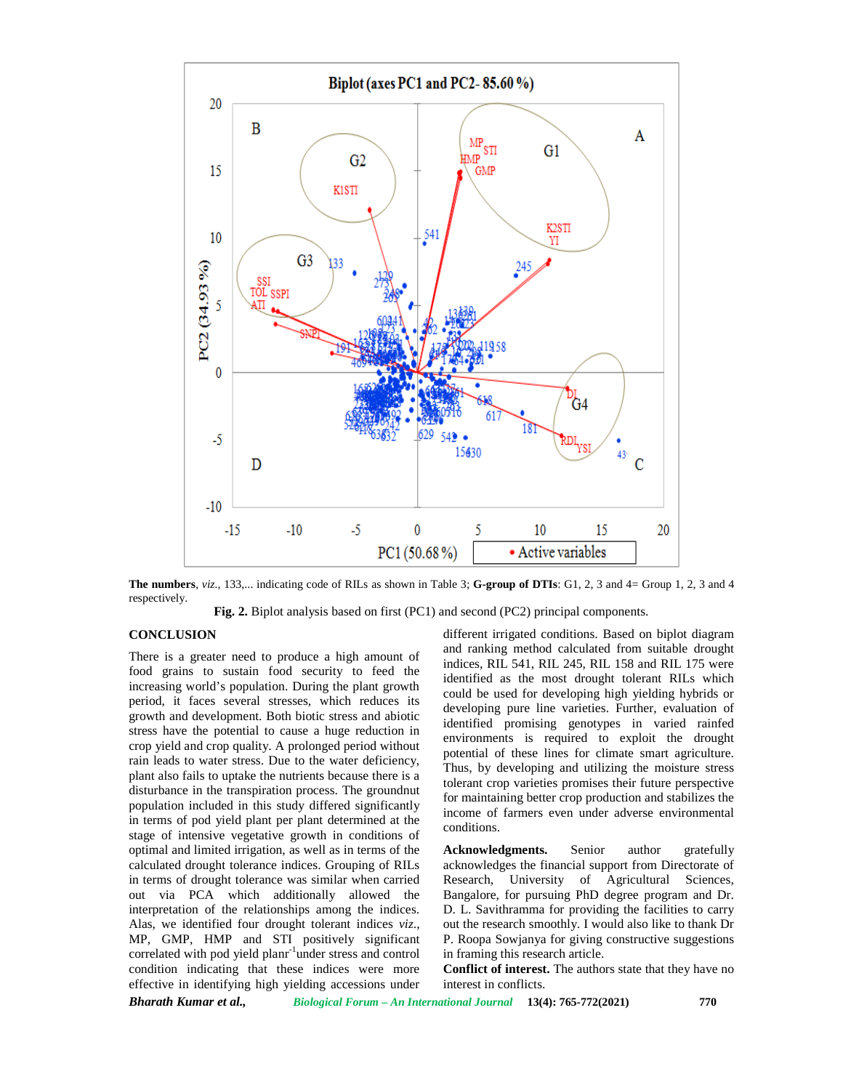

**The numbers**, *viz.,* 133,... indicating code of RILs as shown in Table 3; **G-group of DTIs**: G1, 2, 3 and 4= Group 1, 2, 3 and 4 respectively.

**Fig. 2.** Biplot analysis based on first (PC1) and second (PC2) principal components.

# **CONCLUSION**

There is a greater need to produce a high amount of food grains to sustain food security to feed the increasing world's population. During the plant growth period, it faces several stresses, which reduces its growth and development. Both biotic stress and abiotic stress have the potential to cause a huge reduction in crop yield and crop quality. A prolonged period without rain leads to water stress. Due to the water deficiency, plant also fails to uptake the nutrients because there is a disturbance in the transpiration process. The groundnut population included in this study differed significantly in terms of pod yield plant per plant determined at the stage of intensive vegetative growth in conditions of optimal and limited irrigation, as well as in terms of the calculated drought tolerance indices. Grouping of RILs in terms of drought tolerance was similar when carried out via PCA which additionally allowed the interpretation of the relationships among the indices. Alas, we identified four drought tolerant indices *viz*., MP, GMP, HMP and STI positively significant correlated with pod yield planr-1under stress and control condition indicating that these indices were more effective in identifying high yielding accessions under different irrigated conditions. Based on biplot diagram and ranking method calculated from suitable drought indices, RIL 541, RIL 245, RIL 158 and RIL 175 were identified as the most drought tolerant RILs which could be used for developing high yielding hybrids or developing pure line varieties. Further, evaluation of identified promising genotypes in varied rainfed environments is required to exploit the drought potential of these lines for climate smart agriculture. Thus, by developing and utilizing the moisture stress tolerant crop varieties promises their future perspective for maintaining better crop production and stabilizes the income of farmers even under adverse environmental conditions.

**Acknowledgments.** Senior author gratefully acknowledges the financial support from Directorate of Research, University of Agricultural Sciences, Bangalore, for pursuing PhD degree program and Dr. D. L. Savithramma for providing the facilities to carry out the research smoothly. I would also like to thank Dr P. Roopa Sowjanya for giving constructive suggestions in framing this research article.

**Conflict of interest.** The authors state that they have no interest in conflicts.

*Bharath Kumar et al., Biological Forum – An International Journal* **13(4): 765-772(2021) 770**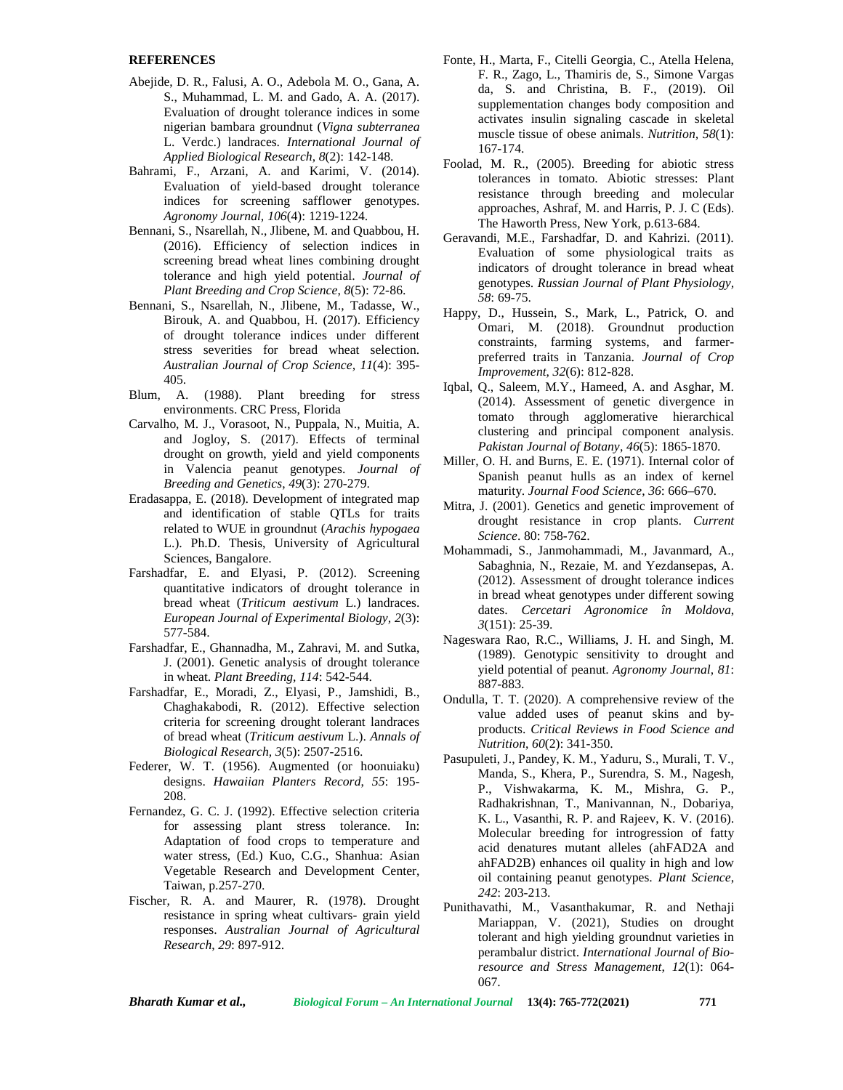### **REFERENCES**

- Abejide, D. R., Falusi, A. O., Adebola M. O., Gana, A. S., Muhammad, L. M. and Gado, A. A. (2017). Evaluation of drought tolerance indices in some nigerian bambara groundnut (*Vigna subterranea* L. Verdc.) landraces. *International Journal of Applied Biological Research*, *8*(2): 142-148.
- Bahrami, F., Arzani, A. and Karimi, V. (2014). Evaluation of yield-based drought tolerance indices for screening safflower genotypes. *Agronomy Journal, 106*(4): 1219-1224.
- Bennani, S., Nsarellah, N., Jlibene, M. and Quabbou, H. (2016). Efficiency of selection indices in screening bread wheat lines combining drought tolerance and high yield potential. *Journal of Plant Breeding and Crop Science*, *8*(5): 72-86.
- Bennani, S., Nsarellah, N., Jlibene, M., Tadasse, W., Birouk, A. and Quabbou, H. (2017). Efficiency of drought tolerance indices under different stress severities for bread wheat selection. *Australian Journal of Crop Science, 11*(4): 395- 405.
- Blum, A. (1988). Plant breeding for stress environments. CRC Press, Florida
- Carvalho, M. J., Vorasoot, N., Puppala, N., Muitia, A. and Jogloy, S. (2017). Effects of terminal drought on growth, yield and yield components in Valencia peanut genotypes. *Journal of Breeding and Genetics*, *49*(3): 270-279.
- Eradasappa, E. (2018). Development of integrated map and identification of stable QTLs for traits related to WUE in groundnut (*Arachis hypogaea* L.). Ph.D. Thesis, University of Agricultural Sciences, Bangalore.
- Farshadfar, E. and Elyasi, P. (2012). Screening quantitative indicators of drought tolerance in bread wheat (*Triticum aestivum* L.) landraces. *European Journal of Experimental Biology, 2*(3): 577-584.
- Farshadfar, E., Ghannadha, M., Zahravi, M. and Sutka, J. (2001). Genetic analysis of drought tolerance in wheat. *Plant Breeding, 114*: 542-544.
- Farshadfar, E., Moradi, Z., Elyasi, P., Jamshidi, B., Chaghakabodi, R. (2012). Effective selection criteria for screening drought tolerant landraces of bread wheat (*Triticum aestivum* L.). *Annals of Biological Research, 3*(5): 2507-2516.
- Federer, W. T. (1956). Augmented (or hoonuiaku) designs. *Hawaiian Planters Record*, *55*: 195- 208.
- Fernandez, G. C. J. (1992). Effective selection criteria for assessing plant stress tolerance. In: Adaptation of food crops to temperature and water stress, (Ed.) Kuo, C.G., Shanhua: Asian Vegetable Research and Development Center, Taiwan, p.257-270.
- Fischer, R. A. and Maurer, R. (1978). Drought resistance in spring wheat cultivars- grain yield responses. *Australian Journal of Agricultural Research*, *29*: 897-912.
- Fonte, H., Marta, F., Citelli Georgia, C., Atella Helena, F. R., Zago, L., Thamiris de, S., Simone Vargas da, S. and Christina, B. F., (2019). Oil supplementation changes body composition and activates insulin signaling cascade in skeletal muscle tissue of obese animals. *Nutrition, 58*(1): 167-174.
- Foolad, M. R., (2005). Breeding for abiotic stress tolerances in tomato. Abiotic stresses: Plant resistance through breeding and molecular approaches, Ashraf, M. and Harris, P. J. C (Eds). The Haworth Press, New York, p.613-684.
- Geravandi, M.E., Farshadfar, D. and Kahrizi. (2011). Evaluation of some physiological traits as indicators of drought tolerance in bread wheat genotypes. *Russian Journal of Plant Physiology, 58*: 69-75.
- Happy, D., Hussein, S., Mark, L., Patrick, O. and Omari, M. (2018). Groundnut production constraints, farming systems, and farmer preferred traits in Tanzania. *Journal of Crop Improvement*, *32*(6): 812-828.
- Iqbal, Q., Saleem, M.Y., Hameed, A. and Asghar, M. (2014). Assessment of genetic divergence in tomato through agglomerative hierarchical clustering and principal component analysis. *Pakistan Journal of Botany*, *46*(5): 1865-1870.
- Miller, O. H. and Burns, E. E. (1971). Internal color of Spanish peanut hulls as an index of kernel maturity. *Journal Food Science*, *36*: 666–670.
- Mitra, J. (2001). Genetics and genetic improvement of drought resistance in crop plants. *Current Science*. 80: 758-762.
- Mohammadi, S., Janmohammadi, M., Javanmard, A., Sabaghnia, N., Rezaie, M. and Yezdansepas, A. (2012). Assessment of drought tolerance indices in bread wheat genotypes under different sowing dates. *Cercetari Agronomice în Moldova*, *3*(151): 25-39.
- Nageswara Rao, R.C., Williams, J. H. and Singh, M. (1989). Genotypic sensitivity to drought and yield potential of peanut. *Agronomy Journal*, *81*: 887-883.
- Ondulla, T. T. (2020). A comprehensive review of the value added uses of peanut skins and by products. *Critical Reviews in Food Science and Nutrition*, *60*(2): 341-350.
- Pasupuleti, J., Pandey, K. M., Yaduru, S., Murali, T. V., Manda, S., Khera, P., Surendra, S. M., Nagesh, P., Vishwakarma, K. M., Mishra, G. P., Radhakrishnan, T., Manivannan, N., Dobariya, K. L., Vasanthi, R. P. and Rajeev, K. V. (2016). Molecular breeding for introgression of fatty acid denatures mutant alleles (ahFAD2A and ahFAD2B) enhances oil quality in high and low oil containing peanut genotypes. *Plant Science*, *242*: 203-213.
- Punithavathi, M., Vasanthakumar, R. and Nethaji Mariappan, V. (2021), Studies on drought tolerant and high yielding groundnut varieties in perambalur district. *International Journal of Bio resource and Stress Management*, *12*(1): 064- 067.